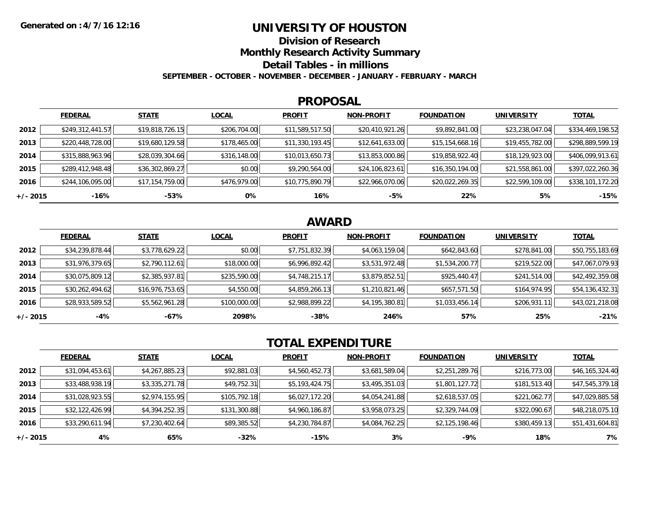### **UNIVERSITY OF HOUSTON**

**Division of Research**

**Monthly Research Activity Summary**

**Detail Tables - in millions**

**SEPTEMBER - OCTOBER - NOVEMBER - DECEMBER - JANUARY - FEBRUARY - MARCH**

#### **PROPOSAL**

|            | <b>FEDERAL</b>   | <b>STATE</b>    | <b>LOCAL</b> | <b>PROFIT</b>   | <b>NON-PROFIT</b> | <b>FOUNDATION</b> | <b>UNIVERSITY</b> | <b>TOTAL</b>     |
|------------|------------------|-----------------|--------------|-----------------|-------------------|-------------------|-------------------|------------------|
| 2012       | \$249,312,441.57 | \$19,818,726.15 | \$206,704.00 | \$11,589,517.50 | \$20,410,921.26   | \$9,892,841.00    | \$23,238,047.04   | \$334,469,198.52 |
| 2013       | \$220,448,728.00 | \$19,680,129.58 | \$178,465.00 | \$11,330,193.45 | \$12,641,633.00   | \$15,154,668.16   | \$19,455,782.00   | \$298,889,599.19 |
| 2014       | \$315,888,963.96 | \$28,039,304.66 | \$316,148.00 | \$10,013,650.73 | \$13,853,000.86   | \$19,858,922.40   | \$18,129,923.00   | \$406,099,913.61 |
| 2015       | \$289,412,948.48 | \$36,302,869.27 | \$0.00       | \$9,290,564.00  | \$24,106,823.61   | \$16,350,194.00   | \$21,558,861.00   | \$397,022,260.36 |
| 2016       | \$244,106,095.00 | \$17,154,759.00 | \$476,979.00 | \$10,775,890.79 | \$22,966,070.06   | \$20,022,269.35   | \$22,599,109.00   | \$338,101,172.20 |
| $+/- 2015$ | -16%             | -53%            | 0%           | 16%             | -5%               | 22%               | 5%                | $-15%$           |

## **AWARD**

|            | <b>FEDERAL</b>  | <b>STATE</b>    | <b>LOCAL</b> | <b>PROFIT</b>  | <b>NON-PROFIT</b> | <b>FOUNDATION</b> | <b>UNIVERSITY</b> | <b>TOTAL</b>    |
|------------|-----------------|-----------------|--------------|----------------|-------------------|-------------------|-------------------|-----------------|
| 2012       | \$34,239,878.44 | \$3,778,629.22  | \$0.00       | \$7,751,832.39 | \$4,063,159.04    | \$642,843.60      | \$278,841.00      | \$50,755,183.69 |
| 2013       | \$31,976,379.65 | \$2,790,112.61  | \$18,000.00  | \$6,996,892.42 | \$3,531,972.48    | \$1,534,200.77    | \$219,522.00      | \$47,067,079.93 |
| 2014       | \$30,075,809.12 | \$2,385,937.81  | \$235,590.00 | \$4,748,215.17 | \$3,879,852.51    | \$925,440.47      | \$241,514.00      | \$42,492,359.08 |
| 2015       | \$30,262,494.62 | \$16,976,753.65 | \$4,550.00   | \$4,859,266.13 | \$1,210,821.46    | \$657,571.50      | \$164,974.95      | \$54,136,432.31 |
| 2016       | \$28,933,589.52 | \$5,562,961.28  | \$100,000.00 | \$2,988,899.22 | \$4,195,380.81    | \$1,033,456.14    | \$206,931.11      | \$43,021,218.08 |
| $+/- 2015$ | $-4%$           | -67%            | 2098%        | $-38%$         | 246%              | 57%               | 25%               | $-21%$          |

# **TOTAL EXPENDITURE**

|            | <b>FEDERAL</b>  | <b>STATE</b>   | <b>LOCAL</b> | <b>PROFIT</b>  | <b>NON-PROFIT</b> | <b>FOUNDATION</b> | <b>UNIVERSITY</b> | <b>TOTAL</b>    |
|------------|-----------------|----------------|--------------|----------------|-------------------|-------------------|-------------------|-----------------|
| 2012       | \$31,094,453.61 | \$4,267,885.23 | \$92,881.03  | \$4,560,452.73 | \$3,681,589.04    | \$2,251,289.76    | \$216,773.00      | \$46,165,324.40 |
| 2013       | \$33,488,938.19 | \$3,335,271.78 | \$49,752.31  | \$5,193,424.75 | \$3,495,351.03    | \$1,801,127.72    | \$181,513.40      | \$47,545,379.18 |
| 2014       | \$31,028,923.55 | \$2,974,155.95 | \$105,792.18 | \$6,027,172.20 | \$4,054,241.88    | \$2,618,537.05    | \$221,062.77      | \$47,029,885.58 |
| 2015       | \$32,122,426.99 | \$4,394,252.35 | \$131,300.88 | \$4,960,186.87 | \$3,958,073.25    | \$2,329,744.09    | \$322,090.67      | \$48,218,075.10 |
| 2016       | \$33,290,611.94 | \$7,230,402.64 | \$89,385.52  | \$4,230,784.87 | \$4,084,762.25    | \$2,125,198.46    | \$380,459.13      | \$51,431,604.81 |
| $+/- 2015$ | 4%              | 65%            | $-32\%$      | $-15%$         | 3%                | $-9%$             | 18%               | 7%              |